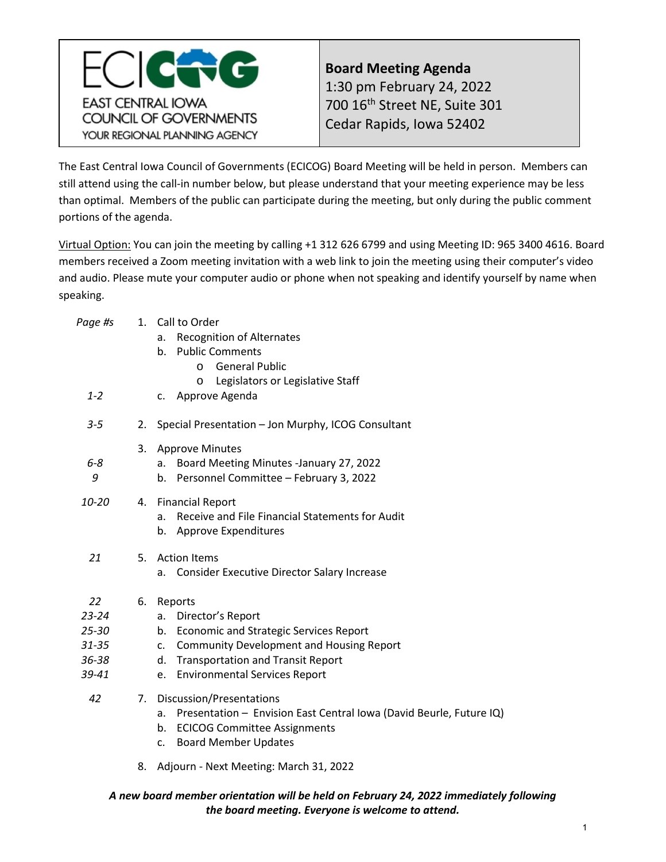

**Board Meeting Agenda** 1:30 pm February 24, 2022 700 16th Street NE, Suite 301 Cedar Rapids, Iowa 52402

The East Central Iowa Council of Governments (ECICOG) Board Meeting will be held in person. Members can still attend using the call-in number below, but please understand that your meeting experience may be less than optimal. Members of the public can participate during the meeting, but only during the public comment portions of the agenda.

Virtual Option: You can join the meeting by calling +1 312 626 6799 and using Meeting ID: 965 3400 4616. Board members received a Zoom meeting invitation with a web link to join the meeting using their computer's video and audio. Please mute your computer audio or phone when not speaking and identify yourself by name when speaking.

| Page #s                                                     |    | 1. Call to Order<br><b>Recognition of Alternates</b><br>a.<br><b>Public Comments</b><br>$h_{\cdot}$<br><b>General Public</b><br>$\circ$<br>Legislators or Legislative Staff<br>O                                                            |
|-------------------------------------------------------------|----|---------------------------------------------------------------------------------------------------------------------------------------------------------------------------------------------------------------------------------------------|
| $1 - 2$                                                     |    | c. Approve Agenda                                                                                                                                                                                                                           |
| $3 - 5$                                                     | 2. | Special Presentation - Jon Murphy, ICOG Consultant                                                                                                                                                                                          |
| 6-8<br>9                                                    | 3. | <b>Approve Minutes</b><br>Board Meeting Minutes -January 27, 2022<br>a.<br>b. Personnel Committee - February 3, 2022                                                                                                                        |
| 10-20                                                       | 4. | <b>Financial Report</b><br>Receive and File Financial Statements for Audit<br>a.<br>b. Approve Expenditures                                                                                                                                 |
| 21                                                          | 5. | <b>Action Items</b><br><b>Consider Executive Director Salary Increase</b><br>a.                                                                                                                                                             |
| 22<br>$23 - 24$<br>$25 - 30$<br>$31 - 35$<br>36-38<br>39-41 |    | 6. Reports<br>Director's Report<br>a.<br><b>Economic and Strategic Services Report</b><br>b.<br><b>Community Development and Housing Report</b><br>c.<br>d. Transportation and Transit Report<br><b>Environmental Services Report</b><br>e. |
| 42                                                          | 7. | Discussion/Presentations<br>Presentation - Envision East Central Iowa (David Beurle, Future IQ)<br>a.<br><b>ECICOG Committee Assignments</b><br>b.<br><b>Board Member Updates</b><br>c.                                                     |
|                                                             |    | 8. Adjourn - Next Meeting: March 31, 2022                                                                                                                                                                                                   |

### *A new board member orientation will be held on February 24, 2022 immediately following the board meeting. Everyone is welcome to attend.*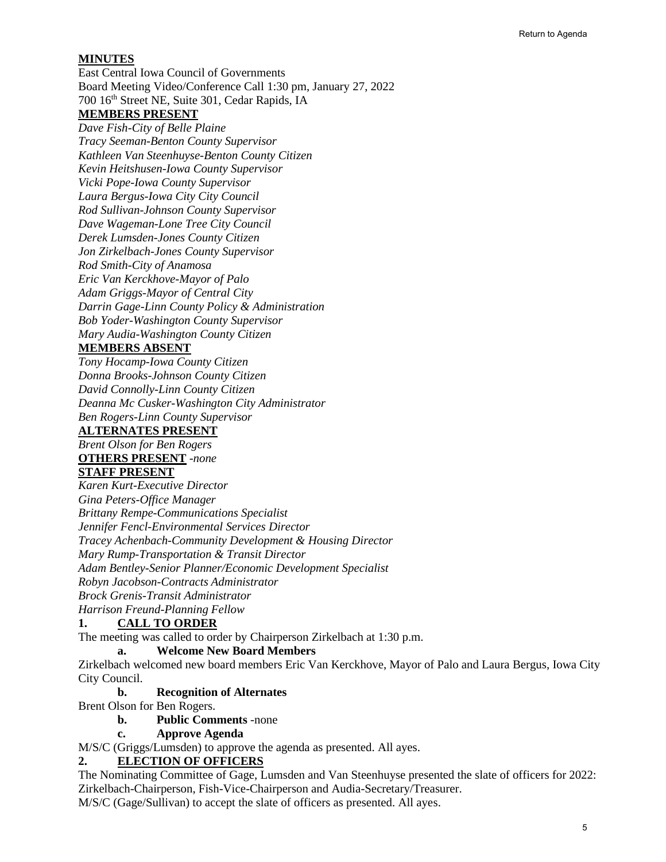### **MINUTES**

East Central Iowa Council of Governments Board Meeting Video/Conference Call 1:30 pm, January 27, 2022 700 16th Street NE, Suite 301, Cedar Rapids, IA **MEMBERS PRESENT**

# *Dave Fish-City of Belle Plaine*

*Tracy Seeman-Benton County Supervisor Kathleen Van Steenhuyse-Benton County Citizen Kevin Heitshusen-Iowa County Supervisor Vicki Pope-Iowa County Supervisor Laura Bergus-Iowa City City Council Rod Sullivan-Johnson County Supervisor Dave Wageman-Lone Tree City Council Derek Lumsden-Jones County Citizen Jon Zirkelbach-Jones County Supervisor Rod Smith-City of Anamosa Eric Van Kerckhove-Mayor of Palo Adam Griggs-Mayor of Central City Darrin Gage-Linn County Policy & Administration Bob Yoder-Washington County Supervisor Mary Audia-Washington County Citizen*

### **MEMBERS ABSENT**

*Tony Hocamp-Iowa County Citizen Donna Brooks-Johnson County Citizen David Connolly-Linn County Citizen Deanna Mc Cusker-Washington City Administrator Ben Rogers-Linn County Supervisor*

## **ALTERNATES PRESENT**

*Brent Olson for Ben Rogers* **OTHERS PRESENT** -*none*

# **STAFF PRESENT**

*Karen Kurt-Executive Director*

*Gina Peters-Office Manager*

*Brittany Rempe-Communications Specialist*

*Jennifer Fencl-Environmental Services Director*

*Tracey Achenbach-Community Development & Housing Director*

*Mary Rump-Transportation & Transit Director*

*Adam Bentley-Senior Planner/Economic Development Specialist*

*Robyn Jacobson-Contracts Administrator*

*Brock Grenis-Transit Administrator*

*Harrison Freund-Planning Fellow*

#### **1. CALL TO ORDER**

The meeting was called to order by Chairperson Zirkelbach at 1:30 p.m.

#### **a. Welcome New Board Members**

Zirkelbach welcomed new board members Eric Van Kerckhove, Mayor of Palo and Laura Bergus, Iowa City City Council.

#### **b. Recognition of Alternates**

Brent Olson for Ben Rogers.

- **b. Public Comments** -none
- **c. Approve Agenda**

M/S/C (Griggs/Lumsden) to approve the agenda as presented. All ayes.

#### **2. ELECTION OF OFFICERS**

The Nominating Committee of Gage, Lumsden and Van Steenhuyse presented the slate of officers for 2022: Zirkelbach-Chairperson, Fish-Vice-Chairperson and Audia-Secretary/Treasurer. M/S/C (Gage/Sullivan) to accept the slate of officers as presented. All ayes.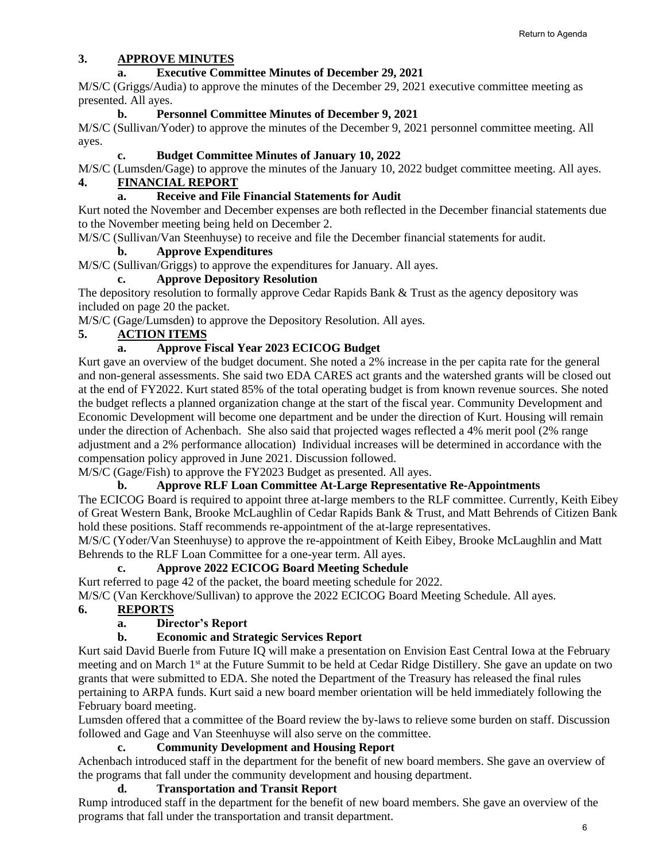#### **3. APPROVE MINUTES**

### **a. Executive Committee Minutes of December 29, 2021**

M/S/C (Griggs/Audia) to approve the minutes of the December 29, 2021 executive committee meeting as presented. All ayes.

### **b. Personnel Committee Minutes of December 9, 2021**

M/S/C (Sullivan/Yoder) to approve the minutes of the December 9, 2021 personnel committee meeting. All ayes.

#### **c. Budget Committee Minutes of January 10, 2022**

M/S/C (Lumsden/Gage) to approve the minutes of the January 10, 2022 budget committee meeting. All ayes. **4. FINANCIAL REPORT**

# **a. Receive and File Financial Statements for Audit**

Kurt noted the November and December expenses are both reflected in the December financial statements due to the November meeting being held on December 2.

M/S/C (Sullivan/Van Steenhuyse) to receive and file the December financial statements for audit.

#### **b. Approve Expenditures**

M/S/C (Sullivan/Griggs) to approve the expenditures for January. All ayes.

### **c. Approve Depository Resolution**

The depository resolution to formally approve Cedar Rapids Bank & Trust as the agency depository was included on page 20 the packet.

M/S/C (Gage/Lumsden) to approve the Depository Resolution. All ayes.

### **5. ACTION ITEMS**

### **a. Approve Fiscal Year 2023 ECICOG Budget**

Kurt gave an overview of the budget document. She noted a 2% increase in the per capita rate for the general and non-general assessments. She said two EDA CARES act grants and the watershed grants will be closed out at the end of FY2022. Kurt stated 85% of the total operating budget is from known revenue sources. She noted the budget reflects a planned organization change at the start of the fiscal year. Community Development and Economic Development will become one department and be under the direction of Kurt. Housing will remain under the direction of Achenbach. She also said that projected wages reflected a 4% merit pool (2% range adjustment and a 2% performance allocation) Individual increases will be determined in accordance with the compensation policy approved in June 2021. Discussion followed.

M/S/C (Gage/Fish) to approve the FY2023 Budget as presented. All ayes.

### **b. Approve RLF Loan Committee At-Large Representative Re-Appointments**

The ECICOG Board is required to appoint three at-large members to the RLF committee. Currently, Keith Eibey of Great Western Bank, Brooke McLaughlin of Cedar Rapids Bank & Trust, and Matt Behrends of Citizen Bank hold these positions. Staff recommends re-appointment of the at-large representatives.

M/S/C (Yoder/Van Steenhuyse) to approve the re-appointment of Keith Eibey, Brooke McLaughlin and Matt Behrends to the RLF Loan Committee for a one-year term. All ayes.

### **c. Approve 2022 ECICOG Board Meeting Schedule**

Kurt referred to page 42 of the packet, the board meeting schedule for 2022.

M/S/C (Van Kerckhove/Sullivan) to approve the 2022 ECICOG Board Meeting Schedule. All ayes.

### **6. REPORTS**

### **a. Director's Report**

### **b. Economic and Strategic Services Report**

Kurt said David Buerle from Future IQ will make a presentation on Envision East Central Iowa at the February meeting and on March 1<sup>st</sup> at the Future Summit to be held at Cedar Ridge Distillery. She gave an update on two grants that were submitted to EDA. She noted the Department of the Treasury has released the final rules pertaining to ARPA funds. Kurt said a new board member orientation will be held immediately following the February board meeting.

Lumsden offered that a committee of the Board review the by-laws to relieve some burden on staff. Discussion followed and Gage and Van Steenhuyse will also serve on the committee.

### **c. Community Development and Housing Report**

Achenbach introduced staff in the department for the benefit of new board members. She gave an overview of the programs that fall under the community development and housing department.

#### **d. Transportation and Transit Report**

Rump introduced staff in the department for the benefit of new board members. She gave an overview of the programs that fall under the transportation and transit department.